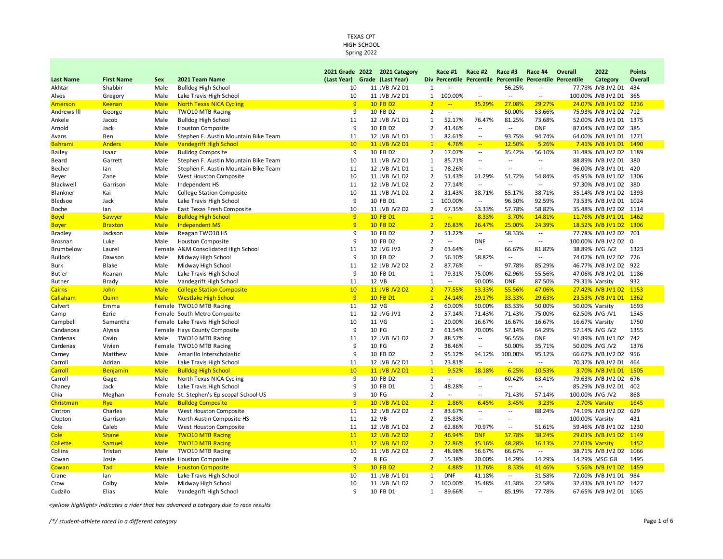Spring 2022

|                  |                   |             |                                          | 2021 Grade 2022               | 2021 Category |                | Race #1                            | Race #2                                                    | Race #3                  | Race #4                  | Overall         | 2022                   | <b>Points</b> |
|------------------|-------------------|-------------|------------------------------------------|-------------------------------|---------------|----------------|------------------------------------|------------------------------------------------------------|--------------------------|--------------------------|-----------------|------------------------|---------------|
| <b>Last Name</b> | <b>First Name</b> | Sex         | 2021 Team Name                           | (Last Year) Grade (Last Year) |               |                |                                    | Div Percentile Percentile Percentile Percentile Percentile |                          |                          |                 | Category               | Overall       |
| Akhtar           | Shabbir           | Male        | <b>Bulldog High School</b>               | 10                            | 11 JVB JV2 D1 | $\mathbf{1}$   | $\overline{\phantom{a}}$           | $\overline{\phantom{a}}$                                   | 56.25%                   | $\overline{\phantom{a}}$ |                 | 77.78% JVB JV2 D1      | 434           |
| Alves            | Gregory           | Male        | Lake Travis High School                  | 10                            | 11 JVB JV2 D1 | $\mathbf{1}$   | 100.00%                            | $\overline{\phantom{a}}$                                   | $\overline{\phantom{a}}$ | $\overline{\phantom{a}}$ |                 | 100.00% JVB JV2 D1     | 365           |
| <b>Amerson</b>   | <b>Keenan</b>     | <b>Male</b> | <b>North Texas NICA Cycling</b>          | 9                             | 10 FB D2      | $\overline{2}$ | $\mathbb{Z}^{\mathbb{Z}^{\times}}$ | 35.29%                                                     | 27.08%                   | 29.27%                   |                 | 24.07% JVB JV1 D2      | 1236          |
| Andrews III      | George            | Male        | TWO10 MTB Racing                         | 9                             | 10 FB D2      | $\overline{2}$ | $\overline{\phantom{a}}$           | $\overline{\phantom{a}}$                                   | 50.00%                   | 53.66%                   |                 | 75.93% JVB JV2 D2      | 712           |
| Ankele           | Jacob             | Male        | <b>Bulldog High School</b>               | 11                            | 12 JVB JV1 D1 | $\mathbf{1}$   | 52.17%                             | 76.47%                                                     | 81.25%                   | 73.68%                   |                 | 52.00% JVB JV1 D1      | 1375          |
| Arnold           | Jack              | Male        | <b>Houston Composite</b>                 | 9                             | 10 FB D2      | $\overline{2}$ | 41.46%                             | $\overline{\phantom{a}}$                                   | $\overline{\phantom{a}}$ | <b>DNF</b>               |                 | 87.04% JVB JV2 D2      | 385           |
| Avans            | Ben               | Male        | Stephen F. Austin Mountain Bike Team     | 11                            | 12 JVB JV1 D1 | 1              | 82.61%                             | --                                                         | 93.75%                   | 94.74%                   |                 | 64.00% JVB JV1 D1      | 1271          |
| Bahrami          | <b>Anders</b>     | <b>Male</b> | <b>Vandegrift High School</b>            | 10 <sup>°</sup>               | 11 JVB JV2 D1 | $\mathbf{1}$   | 4.76%                              | $\rightarrow$                                              | 12.50%                   | 5.26%                    |                 | 7.41% JVB JV1 D1 1490  |               |
| Bailey           | Isaac             | Male        | <b>Bulldog Composite</b>                 | 9                             | 10 FB D2      | $\overline{2}$ | 17.07%                             | $\overline{\phantom{a}}$                                   | 35.42%                   | 56.10%                   |                 | 31.48% JVB JV2 D2      | 1189          |
| Beard            | Garrett           | Male        | Stephen F. Austin Mountain Bike Team     | 10                            | 11 JVB JV2 D1 | 1              | 85.71%                             | --                                                         | $\overline{\phantom{a}}$ | $\overline{\phantom{a}}$ |                 | 88.89% JVB JV2 D1      | 380           |
| Becher           | lan               | Male        | Stephen F. Austin Mountain Bike Team     | 11                            | 12 JVB JV1 D1 | 1              | 78.26%                             | $\overline{\phantom{a}}$                                   | $\overline{a}$           | $\sim$                   |                 | 96.00% JVB JV1 D1      | 420           |
| Beyer            | Zane              | Male        | West Houston Composite                   | 10                            | 11 JVB JV1 D2 | $\overline{2}$ | 51.43%                             | 61.29%                                                     | 51.72%                   | 54.84%                   |                 | 45.95% JVB JV1 D2      | 1306          |
| Blackwell        | Garrison          | Male        | Independent HS                           | 11                            | 12 JVB JV1 D2 | $\overline{2}$ | 77.14%                             | $\overline{a}$                                             | $\overline{\phantom{a}}$ | $\overline{\phantom{a}}$ |                 | 97.30% JVB JV1 D2      | 380           |
| Blankner         | Kai               | Male        | <b>College Station Composite</b>         | 10                            | 11 JVB JV1 D2 | $\overline{2}$ | 31.43%                             | 38.71%                                                     | 55.17%                   | 38.71%                   |                 | 35.14% JVB JV1 D2 1393 |               |
| Bledsoe          | Jack              | Male        | Lake Travis High School                  | 9                             | 10 FB D1      | $\mathbf{1}$   | 100.00%                            | $\overline{\phantom{a}}$                                   | 96.30%                   | 92.59%                   |                 | 73.53% JVB JV2 D1 1024 |               |
| Boche            | lan               | Male        | East Texas Fresh Composite               | 10                            | 11 JVB JV2 D2 | $\overline{2}$ | 67.35%                             | 63.33%                                                     | 57.78%                   | 58.82%                   |                 | 35.48% JVB JV2 D2 1114 |               |
| <b>Boyd</b>      | Sawyer            | <b>Male</b> | <b>Bulldog High School</b>               | 9                             | 10 FB D1      | $\mathbf{1}$   | $\mathbb{Z}^{\mathbb{Z}}$          | 8.33%                                                      | 3.70%                    | 14.81%                   |                 | 11.76% JVB JV1 D1 1462 |               |
| <b>Boyer</b>     | <b>Braxton</b>    | <b>Male</b> | <b>Independent MS</b>                    | $\overline{9}$                | 10 FB D2      | $\overline{2}$ | 26.83%                             | 26.47%                                                     | 25.00%                   | 24.39%                   |                 | 18.52% JVB JV1 D2      | 1306          |
| Bradley          | Jackson           | Male        | Reagan TWO10 HS                          | 9                             | 10 FB D2      | $\overline{2}$ | 51.22%                             | $\overline{\phantom{a}}$                                   | 58.33%                   | $\overline{\phantom{a}}$ |                 | 77.78% JVB JV2 D2      | 701           |
| Brosnan          | Luke              | Male        | <b>Houston Composite</b>                 | 9                             | 10 FB D2      | $\overline{2}$ | $\overline{\phantom{a}}$           | <b>DNF</b>                                                 | $\overline{\phantom{a}}$ | $\overline{\phantom{a}}$ |                 | 100.00% JVB JV2 D2 0   |               |
| Brumbelow        | Laurel            | Female      | A&M Consolidated High School             | 11                            | 12 JVG JV2    | $\overline{2}$ | 63.64%                             | $\overline{\phantom{a}}$                                   | 66.67%                   | 81.82%                   |                 | 38.89% JVG JV2         | 1323          |
| <b>Bullock</b>   | Dawson            | Male        | Midway High School                       | 9                             | 10 FB D2      | $\overline{2}$ | 56.10%                             | 58.82%                                                     | $\sim$ $\sim$            | $\overline{\phantom{a}}$ |                 | 74.07% JVB JV2 D2 726  |               |
| Burk             | Blake             | Male        | Midway High School                       | 11                            | 12 JVB JV2 D2 | $\overline{2}$ | 87.76%                             | $\sim$                                                     | 97.78%                   | 85.29%                   |                 | 46.77% JVB JV2 D2      | 922           |
| Butler           | Keanan            | Male        | Lake Travis High School                  | 9                             | 10 FB D1      | $\mathbf{1}$   | 79.31%                             | 75.00%                                                     | 62.96%                   | 55.56%                   |                 | 47.06% JVB JV2 D1 1186 |               |
| <b>Butner</b>    | Brady             | Male        | Vandegrift High School                   | 11                            | 12 VB         | $\mathbf{1}$   | $\overline{\phantom{a}}$           | 90.00%                                                     | <b>DNF</b>               | 87.50%                   |                 | 79.31% Varsity         | 932           |
| <b>Cairns</b>    | <b>John</b>       | <b>Male</b> | <b>College Station Composite</b>         | 10 <sup>°</sup>               | 11 JVB JV2 D2 | $\overline{2}$ | 77.55%                             | 53.33%                                                     | 55.56%                   | 47.06%                   |                 | 27.42% JVB JV1 D2      | 1153          |
| Callaham         | Quinn             | <b>Male</b> | <b>Westlake High School</b>              | 9                             | 10 FB D1      | $\mathbf{1}$   | 24.14%                             | 29.17%                                                     | 33.33%                   | 29.63%                   |                 | 23.53% JVB JV1 D1      | 1362          |
| Calvert          | Emma              |             | Female TWO10 MTB Racing                  | 11                            | 12 VG         | $\overline{2}$ | 60.00%                             | 50.00%                                                     | 83.33%                   | 50.00%                   |                 | 50.00% Varsity         | 1693          |
| Camp             | Ezrie             |             | Female South Metro Composite             | 11                            | 12 JVG JV1    | $\overline{2}$ | 57.14%                             | 71.43%                                                     | 71.43%                   | 75.00%                   |                 | 62.50% JVG JV1         | 1545          |
| Campbell         | Samantha          |             | Female Lake Travis High School           | 10                            | 11 VG         | $\mathbf{1}$   | 20.00%                             | 16.67%                                                     | 16.67%                   | 16.67%                   |                 | 16.67% Varsity         | 1750          |
| Candanosa        | Alyssa            |             | Female Hays County Composite             | 9                             | 10 FG         | $\overline{2}$ | 61.54%                             | 70.00%                                                     | 57.14%                   | 64.29%                   |                 | 57.14% JVG JV2         | 1355          |
| Cardenas         | Cavin             | Male        | <b>TWO10 MTB Racing</b>                  | 11                            | 12 JVB JV1 D2 | $\overline{2}$ | 88.57%                             | $\overline{\phantom{a}}$                                   | 96.55%                   | <b>DNF</b>               |                 | 91.89% JVB JV1 D2      | 742           |
| Cardenas         | Vivian            |             | Female TWO10 MTB Racing                  | 9                             | 10 FG         | $\overline{2}$ | 38.46%                             | $\overline{\phantom{a}}$                                   | 50.00%                   | 35.71%                   |                 | 50.00% JVG JV2         | 1376          |
| Carney           | Matthew           | Male        | Amarillo Interscholastic                 | 9                             | 10 FB D2      | $\overline{2}$ | 95.12%                             | 94.12%                                                     | 100.00%                  | 95.12%                   |                 | 66.67% JVB JV2 D2      | 956           |
| Carroll          | Adrian            | Male        | Lake Travis High School                  | 11                            | 12 JVB JV2 D1 | 1              | 23.81%                             | $\overline{\phantom{a}}$                                   | $\overline{\phantom{a}}$ | $\overline{a}$           |                 | 70.37% JVB JV2 D1      | 464           |
| Carroll          | Benjamin          | <b>Male</b> | <b>Bulldog High School</b>               | 10 <sup>°</sup>               | 11 JVB JV2 D1 | $\overline{1}$ | 9.52%                              | 18.18%                                                     | 6.25%                    | 10.53%                   |                 | 3.70% JVB JV1 D1       | 1505          |
| Carroll          | Gage              | Male        | North Texas NICA Cycling                 | 9                             | 10 FB D2      | $\overline{2}$ | $\overline{\phantom{a}}$           | $\overline{\phantom{a}}$                                   | 60.42%                   | 63.41%                   |                 | 79.63% JVB JV2 D2      | 676           |
| Chaney           | Jack              | Male        | Lake Travis High School                  | 9                             | 10 FB D1      | $\mathbf{1}$   | 48.28%                             | --                                                         | $\overline{a}$           | $\overline{a}$           |                 | 85.29% JVB JV2 D1      | 402           |
| Chia             | Meghan            |             | Female St. Stephen's Episcopal School US | 9                             | 10 FG         | $\overline{2}$ | $\overline{\phantom{a}}$           | $\qquad \qquad -$                                          | 71.43%                   | 57.14%                   | 100.00% JVG JV2 |                        | 868           |
| Christman        | Rye               | <b>Male</b> | <b>Bulldog Composite</b>                 | 9                             | 10 JVB JV1 D2 | $\overline{2}$ | 2.86%                              | 6.45%                                                      | 3.45%                    | 3.23%                    |                 | 2.70% Varsity          | 1645          |
| Cintron          | Charles           | Male        | West Houston Composite                   | 11                            | 12 JVB JV2 D2 | $\overline{2}$ | 83.67%                             | $\overline{\phantom{a}}$                                   | $\overline{\phantom{a}}$ | 88.24%                   |                 | 74.19% JVB JV2 D2      | 629           |
| Clopton          | Garrison          | Male        | North Austin Composite HS                | 11                            | 12 VB         | $\overline{2}$ | 95.83%                             | $\sim$                                                     | $\sim$                   | $\overline{\phantom{a}}$ | 100.00% Varsity |                        | 431           |
| Cole             | Caleb             | Male        | West Houston Composite                   | 11                            | 12 JVB JV1 D2 | $\overline{2}$ | 62.86%                             | 70.97%                                                     | $\overline{\phantom{a}}$ | 51.61%                   |                 | 59.46% JVB JV1 D2 1230 |               |
| Cole             | <b>Shane</b>      | <b>Male</b> | <b>TWO10 MTB Racing</b>                  | 11                            | 12 JVB JV2 D2 | $\overline{2}$ | 46.94%                             | <b>DNF</b>                                                 | 37.78%                   | 38.24%                   |                 | 29.03% JVB JV1 D2 1149 |               |
| <b>Collette</b>  | <b>Samuel</b>     | <b>Male</b> | <b>TWO10 MTB Racing</b>                  | 11                            | 12 JVB JV1 D2 | $\overline{2}$ | 22.86%                             | 45.16%                                                     | 48.28%                   | 16.13%                   |                 | 27.03% Varsity         | 1452          |
| Collins          | Tristan           | Male        | <b>TWO10 MTB Racing</b>                  | 10                            | 11 JVB JV2 D2 | $\overline{2}$ | 48.98%                             | 56.67%                                                     | 66.67%                   | $\overline{a}$           |                 | 38.71% JVB JV2 D2      | 1066          |
| Cowan            | Josie             |             | Female Houston Composite                 | $\overline{7}$                | 8 FG          | $\overline{2}$ | 15.38%                             | 20.00%                                                     | 14.29%                   | 14.29%                   |                 | 14.29% MSG G8          | 1495          |
| Cowan            | Tad               | <b>Male</b> | <b>Houston Composite</b>                 | 9                             | 10 FB D2      | $\overline{2}$ | 4.88%                              | 11.76%                                                     | 8.33%                    | 41.46%                   |                 | 5.56% JVB JV1 D2       | 1459          |
| Crane            | lan               | Male        | Lake Travis High School                  | 10                            | 11 JVB JV1 D1 | $\mathbf{1}$   | <b>DNF</b>                         | 41.18%                                                     | $\sim$                   | 31.58%                   |                 | 72.00% JVB JV1 D1      | 984           |
| Crow             | Colby             | Male        | Midway High School                       | 10                            | 11 JVB JV1 D2 | 2              | 100.00%                            | 35.48%                                                     | 41.38%                   | 22.58%                   |                 | 32.43% JVB JV1 D2      | 1427          |
| Cudzilo          | Elias             | Male        | Vandegrift High School                   | q                             | 10 FB D1      | $\mathbf{1}$   | 89.66%                             | $\sim$                                                     | 85.19%                   | 77.78%                   |                 | 67.65% JVB JV2 D1 1065 |               |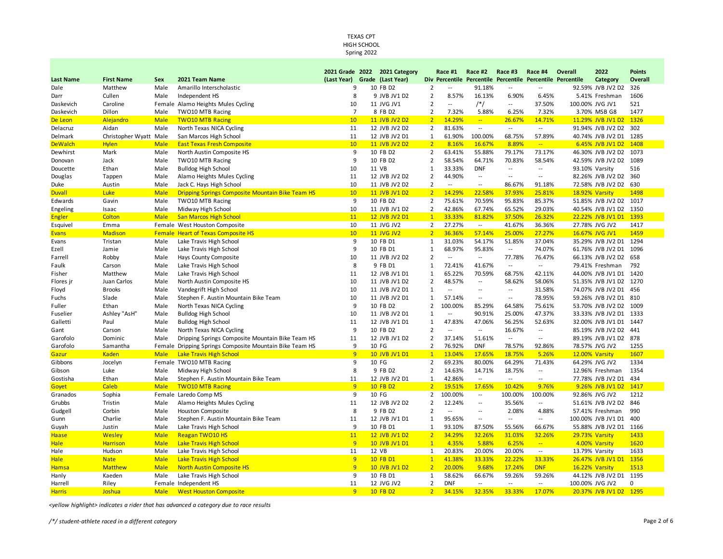Spring 2022

|                  |                        |             |                                                         | 2021 Grade 2022               | 2021 Category     |                                  | Race #1                  | Race #2                  | Race #3                    | Race #4                  | Overall                                                    | 2022                   | <b>Points</b> |
|------------------|------------------------|-------------|---------------------------------------------------------|-------------------------------|-------------------|----------------------------------|--------------------------|--------------------------|----------------------------|--------------------------|------------------------------------------------------------|------------------------|---------------|
| <b>Last Name</b> | <b>First Name</b>      | Sex         | 2021 Team Name                                          | (Last Year) Grade (Last Year) |                   |                                  |                          |                          |                            |                          | Div Percentile Percentile Percentile Percentile Percentile | Category               | Overall       |
| Dale             | Matthew                | Male        | Amarillo Interscholastic                                | 9                             | 10 FB D2          | $\overline{2}$                   | $\overline{\phantom{a}}$ | 91.18%                   | $\overline{\phantom{a}}$   | $\overline{\phantom{a}}$ |                                                            | 92.59% JVB JV2 D2      | 326           |
| Darr             | Cullen                 | Male        | Independent HS                                          | 8                             | 9 JVB JV1 D2      | $\overline{2}$                   | 8.57%                    | 16.13%                   | 6.90%                      | 6.45%                    |                                                            | 5.41% Freshman         | 1606          |
| Daskevich        | Caroline               |             | Female Alamo Heights Mules Cycling                      | 10                            | 11 JVG JV1        | $\overline{2}$                   | $\overline{a}$           | $/*/$                    | $\overline{a}$             | 37.50%                   |                                                            | 100.00% JVG JV1        | 521           |
| Daskevich        | Dillon                 | Male        | TWO10 MTB Racing                                        | $\overline{7}$                | 8 FB D2           | $\overline{2}$                   | 7.32%                    | 5.88%                    | 6.25%                      | 7.32%                    |                                                            | 3.70% MSB G8           | 1477          |
| De Leon          | Alejandro              | <b>Male</b> | <b>TWO10 MTB Racing</b>                                 | 10 <sup>°</sup>               | 11 JVB JV2 D2     | $\overline{2}$                   | 14.29%                   | $\mathbb{Z}^2$           | 26.67%                     | 14.71%                   |                                                            | 11.29% JVB JV1 D2      | 1326          |
| Delacruz         | Aidan                  | Male        | North Texas NICA Cycling                                | 11                            | 12 JVB JV2 D2     | 2                                | 81.63%                   | $\sim$ $\sim$            | $\overline{\phantom{a}}$   | $\overline{\phantom{a}}$ |                                                            | 91.94% JVB JV2 D2      | 302           |
| Delmark          | Christopher Wyatt Male |             | San Marcos High School                                  | 11                            | 12 JVB JV2 D1     | $\mathbf{1}$                     | 61.90%                   | 100.00%                  | 68.75%                     | 57.89%                   |                                                            | 40.74% JVB JV2 D1      | 1285          |
| <b>DeWalch</b>   | <b>Hylen</b>           | <b>Male</b> | <b>East Texas Fresh Composite</b>                       | 10 <sup>°</sup>               | 11 JVB JV2 D2     | $\overline{2}$                   | 8.16%                    | 16.67%                   | 8.89%                      | u,                       |                                                            | 6.45% JVB JV1 D2       | 1408          |
| Dewhirst         | Mark                   | Male        | North Austin Composite HS                               | 9                             | 10 FB D2          | $\overline{2}$                   | 63.41%                   | 55.88%                   | 79.17%                     | 73.17%                   |                                                            | 46.30% JVB JV2 D2      | 1073          |
| Donovan          | Jack                   | Male        | <b>TWO10 MTB Racing</b>                                 | 9                             | 10 FB D2          | $\overline{2}$                   | 58.54%                   | 64.71%                   | 70.83%                     | 58.54%                   |                                                            | 42.59% JVB JV2 D2      | 1089          |
| Doucette         | Ethan                  | Male        | <b>Bulldog High School</b>                              | 10                            | 11 VB             | $\mathbf{1}$                     | 33.33%                   | <b>DNF</b>               | $\overline{a}$             | $\overline{a}$           |                                                            | 93.10% Varsity         | 516           |
| Douglas          | Tappen                 | Male        | Alamo Heights Mules Cycling                             | 11                            | 12 JVB JV2 D2     | $\overline{2}$                   | 44.90%                   | $\overline{\phantom{a}}$ | $\overline{a}$             | $\overline{a}$           |                                                            | 82.26% JVB JV2 D2      | 360           |
| Duke             | Austin                 | Male        | Jack C. Hays High School                                | 10                            | 11 JVB JV2 D2     | $\overline{2}$                   | --                       | $\overline{\phantom{a}}$ | 86.67%                     | 91.18%                   |                                                            | 72.58% JVB JV2 D2      | 630           |
| <b>Duvall</b>    | <b>Luke</b>            | <b>Male</b> | <b>Dripping Springs Composite Mountain Bike Team HS</b> | 10 <sup>°</sup>               | 11 JVB JV1 D2     | $\overline{2}$                   | 14.29%                   | 22.58%                   | 37.93%                     | 25.81%                   |                                                            | 18.92% Varsity         | 1498          |
| Edwards          | Gavin                  | Male        | <b>TWO10 MTB Racing</b>                                 | 9                             | 10 FB D2          | $\overline{2}$                   | 75.61%                   | 70.59%                   | 95.83%                     | 85.37%                   |                                                            | 51.85% JVB JV2 D2      | 1017          |
| Engeling         | Isaac                  | Male        | Midway High School                                      | 10                            | 11 JVB JV1 D2     | $\overline{2}$                   | 42.86%                   | 67.74%                   | 65.52%                     | 29.03%                   |                                                            | 40.54% JVB JV1 D2      | 1350          |
| <b>Engler</b>    | Colton                 | <b>Male</b> | <b>San Marcos High School</b>                           | 11                            | 12 JVB JV2 D1     | $\mathbf{1}$                     | 33.33%                   | 81.82%                   | 37.50%                     | 26.32%                   |                                                            | 22.22% JVB JV1 D1      | 1393          |
| Esquivel         | Emma                   |             | Female West Houston Composite                           | 10                            | 11 JVG JV2        | $\overline{2}$                   | 27.27%                   | $\sim$                   | 41.67%                     | 36.36%                   |                                                            | 27.78% JVG JV2         | 1417          |
| <b>Evans</b>     | Madison                |             | <b>Female Heart of Texas Composite HS</b>               | 10 <sup>°</sup>               | <b>11 JVG JV2</b> | $\overline{2}$                   | 36.36%                   | 57.14%                   | 25.00%                     | 27.27%                   |                                                            | 16.67% JVG JV1         | 1459          |
| Evans            | Tristan                | Male        | Lake Travis High School                                 | 9                             | 10 FB D1          | $\mathbf{1}$                     | 31.03%                   | 54.17%                   | 51.85%                     | 37.04%                   |                                                            | 35.29% JVB JV2 D1      | 1294          |
| Ezell            | Jamie                  | Male        | Lake Travis High School                                 | 9                             | 10 FB D1          | 1                                | 68.97%                   | 95.83%                   | $\overline{\phantom{a}}$   | 74.07%                   |                                                            | 61.76% JVB JV2 D1      | 1096          |
| Farrell          | Robby                  | Male        | Hays County Composite                                   | 10                            | 11 JVB JV2 D2     | $\overline{2}$                   | $\overline{a}$           | $\sim$                   | 77.78%                     | 76.47%                   |                                                            | 66.13% JVB JV2 D2      | 658           |
| Faulk            | Carson                 | Male        | Lake Travis High School                                 | 8                             | 9 FB D1           | 1                                | 72.41%                   | 41.67%                   | $\overline{\phantom{a}}$   | $\overline{a}$           |                                                            | 79.41% Freshman        | 792           |
| Fisher           | Matthew                | Male        | Lake Travis High School                                 | 11                            | 12 JVB JV1 D1     | $\mathbf{1}$                     | 65.22%                   | 70.59%                   | 68.75%                     | 42.11%                   |                                                            | 44.00% JVB JV1 D1      | 1420          |
| Flores ir        | Juan Carlos            | Male        | North Austin Composite HS                               | 10                            | 11 JVB JV1 D2     | $\overline{2}$                   | 48.57%                   | $\overline{\phantom{a}}$ | 58.62%                     | 58.06%                   |                                                            | 51.35% JVB JV1 D2      | 1270          |
| Floyd            | <b>Brooks</b>          | Male        | Vandegrift High School                                  | 10                            | 11 JVB JV2 D1     | 1                                | $\overline{a}$           | $\sim$                   | $\overline{a}$             | 31.58%                   |                                                            | 74.07% JVB JV2 D1      | 456           |
| Fuchs            | Slade                  | Male        | Stephen F. Austin Mountain Bike Team                    | 10                            | 11 JVB JV2 D1     | $\mathbf{1}$                     | 57.14%                   | $\overline{\phantom{a}}$ | $\overline{\phantom{a}}$   | 78.95%                   |                                                            | 59.26% JVB JV2 D1      | 810           |
| Fuller           | Ethan                  | Male        | North Texas NICA Cycling                                | 9                             | 10 FB D2          | $\overline{2}$                   | 100.00%                  | 85.29%                   | 64.58%                     | 75.61%                   |                                                            | 53.70% JVB JV2 D2      | 1009          |
| Fuselier         | Ashley "AsH"           | Male        | <b>Bulldog High School</b>                              | 10                            | 11 JVB JV2 D1     | 1                                | $\overline{a}$           | 90.91%                   | 25.00%                     | 47.37%                   |                                                            | 33.33% JVB JV2 D1      | 1333          |
| Galletti         | Paul                   | Male        | <b>Bulldog High School</b>                              | 11                            | 12 JVB JV1 D1     | $\mathbf{1}$                     | 47.83%                   | 47.06%                   | 56.25%                     | 52.63%                   |                                                            | 32.00% JVB JV1 D1      | 1447          |
| Gant             | Carson                 | Male        | North Texas NICA Cycling                                | 9                             | 10 FB D2          | $\overline{2}$                   | $\overline{a}$           | $\overline{a}$           | 16.67%                     | $\overline{a}$           |                                                            | 85.19% JVB JV2 D2      | 441           |
| Garofolo         | Dominic                | Male        | Dripping Springs Composite Mountain Bike Team HS        | 11                            | 12 JVB JV1 D2     | $\overline{2}$                   | 37.14%                   | 51.61%                   | $\overline{\phantom{a}}$ . | $\overline{\phantom{a}}$ |                                                            | 89.19% JVB JV1 D2      | 878           |
| Garofolo         | Samantha               | Female      | Dripping Springs Composite Mountain Bike Team HS        | 9                             | 10 FG             | $\overline{2}$                   | 76.92%                   | <b>DNF</b>               | 78.57%                     | 92.86%                   |                                                            | 78.57% JVG JV2         | 1255          |
| Gazur            | <b>Kaden</b>           | <b>Male</b> | <b>Lake Travis High School</b>                          | 9                             | 10 JVB JV1 D1     | $\mathbf{1}$                     | 13.04%                   | 17.65%                   | 18.75%                     | 5.26%                    |                                                            | 12.00% Varsity         | 1607          |
| Gibbons          | Jocelyn                |             | Female TWO10 MTB Racing                                 | 9                             | 10 FG             | $\overline{2}$                   | 69.23%                   | 80.00%                   | 64.29%                     | 71.43%                   |                                                            | 64.29% JVG JV2         | 1334          |
| Gibson           | Luke                   | Male        | Midway High School                                      | 8                             | 9 FB D2           | $\overline{2}$                   | 14.63%                   | 14.71%                   | 18.75%                     | $\overline{a}$           |                                                            | 12.96% Freshman        | 1354          |
| Gostisha         | Ethan                  | Male        | Stephen F. Austin Mountain Bike Team                    | 11                            | 12 JVB JV2 D1     | $\mathbf{1}$                     | 42.86%                   | $\overline{\phantom{a}}$ | $\overline{a}$             | $\overline{a}$           |                                                            | 77.78% JVB JV2 D1      | 434           |
| Goyet            | Caleb                  | <b>Male</b> | <b>TWO10 MTB Racing</b>                                 | 9                             | 10 FB D2          | $\overline{2}$                   | 19.51%                   | 17.65%                   | 10.42%                     | 9.76%                    |                                                            | 9.26% JVB JV1 D2       | 1417          |
| Granados         | Sophia                 |             | Female Laredo Comp MS                                   | 9                             | 10 FG             | $\overline{2}$                   | 100.00%                  | $\overline{\phantom{a}}$ | 100.00%                    | 100.00%                  |                                                            | 92.86% JVG JV2         | 1212          |
| Grubbs           | Tristin                | Male        | Alamo Heights Mules Cycling                             | 11                            | 12 JVB JV2 D2     | 2                                | 12.24%                   | $\overline{\phantom{a}}$ | 35.56%                     | $\overline{a}$           |                                                            | 51.61% JVB JV2 D2      | 846           |
| Gudgell          | Corbin                 | Male        | <b>Houston Composite</b>                                | 8                             | 9 FB D2           | $\overline{2}$                   | $\overline{a}$           | $\overline{\phantom{a}}$ | 2.08%                      | 4.88%                    |                                                            | 57.41% Freshman        | 990           |
| Gunn             | Charlie                | Male        | Stephen F. Austin Mountain Bike Team                    | 11                            | 12 JVB JV1 D1     | $\mathbf{1}$                     | 95.65%                   | $\overline{\phantom{a}}$ | $\overline{a}$             | $\overline{a}$           |                                                            | 100.00% JVB JV1 D1     | 400           |
|                  |                        |             |                                                         | 9                             |                   |                                  | 93.10%                   | 87.50%                   |                            |                          |                                                            |                        |               |
| Guyah            | Justin                 | Male        | Lake Travis High School                                 |                               | 10 FB D1          | $\mathbf{1}$                     |                          |                          | 55.56%                     | 66.67%                   |                                                            | 55.88% JVB JV2 D1      | 1166          |
| Haase            | Wesley                 | <b>Male</b> | <b>Reagan TWO10 HS</b>                                  | 11<br>9                       | 12 JVB JV1 D2     | 2 <sup>2</sup><br>$\overline{1}$ | 34.29%                   | 32.26%                   | 31.03%                     | 32.26%                   |                                                            | 29.73% Varsity         | 1433          |
| <b>Hale</b>      | <b>Harrison</b>        | <b>Male</b> | <b>Lake Travis High School</b>                          |                               | 10 JVB JV1 D1     |                                  | 4.35%                    | 5.88%                    | 6.25%                      | $\rightarrow$            |                                                            | 4.00% Varsity          | 1620          |
| Hale             | Hudson                 | Male        | Lake Travis High School                                 | 11                            | 12 VB             | $\mathbf{1}$                     | 20.83%                   | 20.00%                   | 20.00%                     | $\sim$                   |                                                            | 13.79% Varsity         | 1633          |
| <b>Hale</b>      | <b>Nate</b>            | <b>Male</b> | <b>Lake Travis High School</b>                          | 9                             | 10 FB D1          | $\mathbf{1}$                     | 41.38%                   | 33.33%                   | 22.22%                     | 33.33%                   |                                                            | 26.47% JVB JV1 D1      | 1356          |
| <b>Hamsa</b>     | <b>Matthew</b>         | <b>Male</b> | <b>North Austin Composite HS</b>                        | 9                             | 10 JVB JV1 D2     | $\overline{2}$                   | 20.00%                   | 9.68%                    | 17.24%                     | <b>DNF</b>               |                                                            | 16.22% Varsity         | 1513          |
| Hanly            | Kaeden                 | Male        | Lake Travis High School                                 | 9                             | 10 FB D1          | $\mathbf{1}$                     | 58.62%                   | 66.67%                   | 59.26%                     | 59.26%                   |                                                            | 44.12% JVB JV2 D1 1195 |               |
| Harrell          | Riley                  |             | Female Independent HS                                   | 11                            | 12 JVG JV2        | $\overline{2}$                   | <b>DNF</b>               | $\overline{\phantom{a}}$ | $\overline{\phantom{a}}$   | $\overline{\phantom{a}}$ |                                                            | 100.00% JVG JV2        | $\mathbf 0$   |
| <b>Harris</b>    | Joshua                 | <b>Male</b> | <b>West Houston Composite</b>                           | 9                             | 10 FB D2          | $\overline{2}$                   | 34.15%                   | 32.35%                   | 33.33%                     | 17.07%                   |                                                            | 20.37% JVB JV1 D2      | 1295          |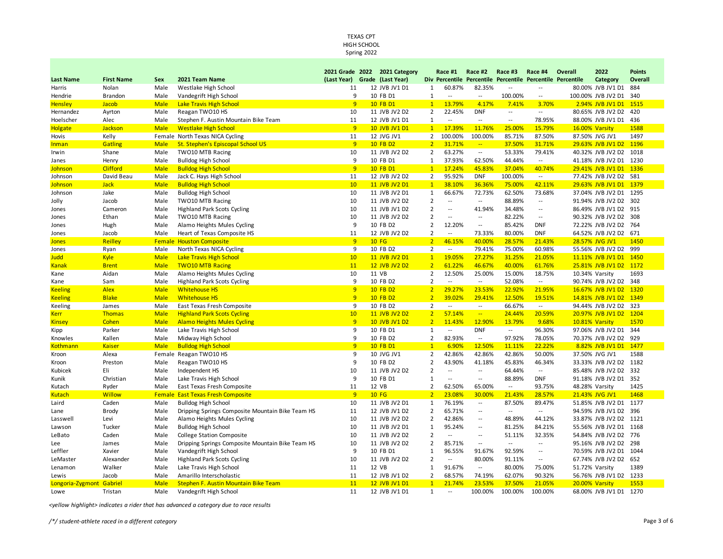Spring 2022

|                                   |                   |                     |                                                                         | 2021 Grade 2022               | 2021 Category                  |                                  | Race #1                  | Race #2                                              | Race #3                            | Race #4                                    | Overall        | 2022                                   | <b>Points</b> |
|-----------------------------------|-------------------|---------------------|-------------------------------------------------------------------------|-------------------------------|--------------------------------|----------------------------------|--------------------------|------------------------------------------------------|------------------------------------|--------------------------------------------|----------------|----------------------------------------|---------------|
| <b>Last Name</b>                  | <b>First Name</b> | Sex                 | 2021 Team Name                                                          | (Last Year) Grade (Last Year) |                                |                                  |                          | Div Percentile Percentile                            | Percentile Percentile Percentile   |                                            |                | Category                               | Overall       |
| Harris                            | Nolan             | Male                | Westlake High School                                                    | 11                            | 12 JVB JV1 D1                  | 1                                | 60.87%                   | 82.35%                                               | $\sim$                             | --                                         |                | 80.00% JVB JV1 D1                      | 884           |
| Hendrie                           | <b>Brandon</b>    | Male                | Vandegrift High School                                                  | 9                             | 10 FB D1                       | 1                                | $\overline{a}$           | $\overline{\phantom{a}}$                             | 100.00%                            | $\overline{a}$                             |                | 100.00% JVB JV2 D1                     | 340           |
| <b>Hensley</b>                    | Jacob             | <b>Male</b>         | <b>Lake Travis High School</b>                                          | 9                             | 10 FB D1                       | $\mathbf{1}$                     | 13.79%                   | 4.17%                                                | 7.41%                              | 3.70%                                      |                | 2.94% JVB JV1 D1                       | 1515          |
| Hernandez                         | Ayrton            | Male                | Reagan TWO10 HS                                                         | 10                            | 11 JVB JV2 D2                  | $\overline{2}$                   | 22.45%                   | <b>DNF</b>                                           |                                    | $\overline{\phantom{a}}$                   |                | 80.65% JVB JV2 D2                      | 420           |
| Hoelscher                         | Alec              | Male                | Stephen F. Austin Mountain Bike Team                                    | 11                            | 12 JVB JV1 D1                  | $\mathbf{1}$                     | $\overline{\phantom{a}}$ | $\overline{\phantom{a}}$                             | $\overline{\phantom{a}}$           | 78.95%                                     |                | 88.00% JVB JV1 D1                      | 436           |
| <b>Holgate</b>                    | Jackson           | <b>Male</b>         | <b>Westlake High School</b>                                             | 9                             | 10 JVB JV1 D1                  | $\mathbf{1}$                     | 17.39%                   | 11.76%                                               | 25.00%                             | 15.79%                                     | 16.00% Varsity |                                        | 1588          |
| Hovis                             | Kelly             |                     | Female North Texas NICA Cycling                                         | 11                            | 12 JVG JV1                     | $\overline{2}$                   | 100.00%                  | 100.00%                                              | 85.71%                             | 87.50%                                     |                | 87.50% JVG JV1                         | 1497          |
| <b>Inman</b>                      | <b>Gatling</b>    | <b>Male</b>         | St. Stephen's Episcopal School US                                       | 9                             | 10 FB D2                       | $\overline{2}$                   | 31.71%                   | $\frac{1}{2}$                                        | 37.50%                             | 31.71%                                     |                | 29.63% JVB JV1 D2                      | 1196          |
| Irwin                             | Shane             | Male                | TWO10 MTB Racing                                                        | 10                            | 11 JVB JV2 D2                  | $\overline{2}$                   | 63.27%                   | $\sim$                                               | 53.33%                             | 79.41%                                     |                | 40.32% JVB JV2 D2                      | 1018          |
| Janes                             | Henry             | Male                | <b>Bulldog High School</b>                                              | 9                             | 10 FB D1                       | 1                                | 37.93%                   | 62.50%                                               | 44.44%                             | --                                         |                | 41.18% JVB JV2 D1                      | 1230          |
| <b>Johnson</b>                    | <b>Clifford</b>   | <b>Male</b>         | <b>Bulldog High School</b>                                              | 9                             | 10 FB D1                       | $\mathbf{1}$                     | 17.24%                   | 45.83%                                               | 37.04%                             | 40.74%                                     |                | 29.41% JVB JV1 D1                      | 1336          |
| Johnson                           | David Beau        | Male                | Jack C. Hays High School                                                | 11                            | 12 JVB JV2 D2                  | $\overline{2}$                   | 95.92%                   | <b>DNF</b>                                           | 100.00%                            | $\sim$                                     |                | 77.42% JVB JV2 D2                      | 581           |
| <b>Johnson</b>                    | <b>Jack</b>       | <b>Male</b>         | <b>Bulldog High School</b>                                              | 10                            | 11 JVB JV2 D1                  | $\mathbf{1}$                     | 38.10%                   | 36.36%                                               | 75.00%                             | 42.11%                                     |                | 29.63% JVB JV1 D1                      | 1379          |
| Johnson                           | Jake              | Male                | <b>Bulldog High School</b>                                              | 10                            | 11 JVB JV2 D1                  | $\mathbf{1}$                     | 66.67%                   | 72.73%                                               | 62.50%                             | 73.68%                                     |                | 37.04% JVB JV2 D1                      | 1295          |
| Jolly                             | Jacob             | Male                | <b>TWO10 MTB Racing</b>                                                 | 10                            | 11 JVB JV2 D2                  | $\overline{2}$                   | $\overline{\phantom{a}}$ | $\overline{\phantom{a}}$                             | 88.89%                             | $\overline{\phantom{a}}$                   |                | 91.94% JVB JV2 D2                      | 302           |
| Jones                             | Cameron           | Male                | <b>Highland Park Scots Cycling</b>                                      | 10                            | 11 JVB JV1 D2                  | $\overline{2}$                   | $\overline{a}$           | 41.94%                                               | 34.48%                             | $\overline{a}$                             |                | 86.49% JVB JV1 D2                      | 915           |
| Jones                             | Ethan             | Male                | TWO10 MTB Racing                                                        | 10                            | 11 JVB JV2 D2                  | $\overline{2}$                   | $\overline{\phantom{a}}$ | $\overline{\phantom{a}}$                             | 82.22%                             | $\overline{\phantom{a}}$                   |                | 90.32% JVB JV2 D2                      | 308           |
| Jones                             | Hugh              | Male                | Alamo Heights Mules Cycling                                             | 9                             | 10 FB D2                       | $\overline{2}$                   | 12.20%                   | $\overline{\phantom{a}}$                             | 85.42%                             | <b>DNF</b>                                 |                | 72.22% JVB JV2 D2                      | 764           |
| Jones                             | Jacob             | Male                | Heart of Texas Composite HS                                             | 11                            | 12 JVB JV2 D2                  | $\overline{2}$                   | $\overline{a}$           | 73.33%                                               | 80.00%                             | <b>DNF</b>                                 |                | 64.52% JVB JV2 D2                      | 671           |
| <b>Jones</b>                      | Reilley           |                     | <b>Female Houston Composite</b>                                         | 9                             | <b>10 FG</b>                   | $\overline{2}$                   | 46.15%                   | 40.00%                                               | 28.57%                             | 21.43%                                     |                | 28.57% JVG JV1                         | 1450          |
| Jones                             | Ryan              | Male                | North Texas NICA Cycling                                                | 9                             | 10 FB D2                       | $\overline{2}$                   | $\overline{\phantom{a}}$ | 79.41%                                               | 75.00%                             | 60.98%                                     |                | 55.56% JVB JV2 D2                      | 999           |
| Judd                              | <b>Kyle</b>       | <b>Male</b>         | <b>Lake Travis High School</b>                                          | 10                            | 11 JVB JV2 D1                  | 1                                | 19.05%                   | 27.27%                                               | 31.25%                             | 21.05%                                     |                | 11.11% JVB JV1 D1 1450                 |               |
| <b>Kanak</b>                      | <b>Brent</b>      | <b>Male</b>         | <b>TWO10 MTB Racing</b>                                                 | 11                            | 12 JVB JV2 D2                  | $\overline{2}$                   | 61.22%                   | 46.67%                                               | 40.00%                             | 61.76%                                     |                | 25.81% JVB JV1 D2                      | 1172          |
| Kane                              | Aidan             | Male                | Alamo Heights Mules Cycling                                             | 10                            | 11 VB                          | $\overline{2}$                   | 12.50%                   | 25.00%                                               | 15.00%                             | 18.75%                                     |                | 10.34% Varsity                         | 1693          |
| Kane                              | Sam               | Male                | <b>Highland Park Scots Cycling</b>                                      | 9                             | 10 FB D2                       | $\overline{2}$                   | $\overline{\phantom{a}}$ | $\overline{\phantom{a}}$                             | 52.08%                             | $\overline{\phantom{a}}$                   |                | 90.74% JVB JV2 D2                      | 348           |
| <b>Keeling</b>                    | <b>Alex</b>       | <b>Male</b>         | <b>Whitehouse HS</b>                                                    | 9                             | 10 FB D2                       | $\overline{2}$                   | 29.27%                   | 23.53%                                               | 22.92%                             | 21.95%                                     |                | 16.67% JVB JV1 D2                      | 1320          |
| <b>Keeling</b>                    | <b>Blake</b>      | <b>Male</b>         | <b>Whitehouse HS</b>                                                    | $\overline{9}$                | 10 FB D2                       | $\overline{2}$                   | 39.02%                   | 29.41%                                               | 12.50%                             | 19.51%                                     |                | 14.81% JVB JV1 D2                      | 1349          |
| Keeling                           | James             | Male                | East Texas Fresh Composite                                              | 9                             | 10 FB D2                       | $\overline{2}$                   | $\overline{\phantom{a}}$ | $\overline{\phantom{a}}$                             | 66.67%                             | $\overline{\phantom{a}}$                   |                | 94.44% JVB JV2 D2                      | 323           |
| <b>Kerr</b>                       | Thomas            | <b>Male</b>         | <b>Highland Park Scots Cycling</b>                                      | 10                            | 11 JVB JV2 D2                  | $\overline{2}$                   | 57.14%                   | $\mathbb{Z}^2$                                       | 24.44%                             | 20.59%                                     |                | 20.97% JVB JV1 D2                      | 1204          |
| <b>Kinsey</b>                     | Cohen             | <b>Male</b>         | <b>Alamo Heights Mules Cycling</b>                                      | 9                             | 10 JVB JV1 D2                  | $\overline{2}$                   | 11.43%                   | 12.90%                                               | 13.79%                             | 9.68%                                      |                | 10.81% Varsity                         | 1570          |
| Kipp                              | Parker            | Male                | Lake Travis High School                                                 | 9                             | 10 FB D1                       | 1                                | $\overline{\phantom{a}}$ | <b>DNF</b>                                           | $\overline{a}$                     | 96.30%                                     |                | 97.06% JVB JV2 D1                      | 344           |
| Knowles                           | Kallen            | Male                | Midway High School                                                      | 9                             | 10 FB D2                       | $\overline{2}$                   | 82.93%                   | $\sim$                                               | 97.92%                             | 78.05%                                     |                | 70.37% JVB JV2 D2                      | 929           |
| <b>Kothmann</b>                   | <b>Kaiser</b>     | <b>Male</b>         | <b>Bulldog High School</b>                                              | 9                             | 10 FB D1                       | $\overline{1}$                   | 6.90%                    | 12.50%                                               | 11.11%                             | 22.22%                                     |                | 8.82% JVB JV1 D1                       | 1477          |
| Kroon                             | Alexa             | Female              | Reagan TWO10 HS                                                         | 9                             | 10 JVG JV1                     | $\overline{2}$                   | 42.86%                   | 42.86%                                               | 42.86%                             | 50.00%                                     |                | 37.50% JVG JV1                         | 1588          |
| Kroon                             | Preston           | Male                | Reagan TWO10 HS                                                         | 9                             | 10 FB D2                       | $\overline{2}$                   | 43.90%                   | 41.18%                                               | 45.83%                             | 46.34%                                     |                | 33.33% JVB JV2 D2                      | 1182          |
| Kubicek                           | Eli               | Male                | Independent HS                                                          | 10                            | 11 JVB JV2 D2                  | $\overline{2}$                   | $\overline{a}$           | $\overline{a}$                                       | 64.44%                             | $\overline{a}$                             |                | 85.48% JVB JV2 D2                      | 332           |
| Kunik                             | Christian         | Male                | Lake Travis High School                                                 | 9                             | 10 FB D1                       | $\mathbf{1}$                     | --                       | $\sim$                                               | 88.89%                             | <b>DNF</b>                                 |                | 91.18% JVB JV2 D1                      | 352           |
| Kutach                            | Ryder             | Male                | East Texas Fresh Composite                                              | 11                            | 12 VB                          | $\overline{2}$                   | 62.50%                   | 65.00%                                               | $\overline{\phantom{a}}$           | 93.75%                                     |                | 48.28% Varsity                         | 1425          |
| <b>Kutach</b>                     | <b>Willow</b>     | Female              | <b>East Texas Fresh Composite</b>                                       | 9                             | <b>10 FG</b>                   | $\overline{2}$                   | 23.08%                   | 30.00%                                               | 21.43%                             | 28.57%                                     |                | 21.43% JVG JV1                         | 1468          |
| Laird                             | Caden             | Male                | <b>Bulldog High School</b>                                              | 10                            | 11 JVB JV2 D1                  | 1                                | 76.19%                   | $\sim$                                               | 87.50%                             | 89.47%<br>$\overline{a}$                   |                | 51.85% JVB JV2 D1                      | 1177<br>396   |
| Lane                              | Brody             | Male                | Dripping Springs Composite Mountain Bike Team HS                        | 11<br>10                      | 12 JVB JV1 D2                  | $\overline{2}$<br>$\overline{2}$ | 65.71%<br>42.86%         | $\overline{\phantom{a}}$<br>$\overline{\phantom{a}}$ | $\overline{\phantom{a}}$<br>48.89% | 44.12%                                     |                | 94.59% JVB JV1 D2<br>33.87% JVB JV2 D2 | 1121          |
| Lasswell                          | Levi              | Male                | Alamo Heights Mules Cycling                                             | 10                            | 11 JVB JV2 D2                  | $\mathbf{1}$                     | 95.24%                   | $\overline{\phantom{a}}$                             | 81.25%                             | 84.21%                                     |                |                                        | 1168          |
| Lawson                            | Tucker            | Male                | <b>Bulldog High School</b>                                              |                               | 11 JVB JV2 D1                  | $\overline{2}$                   |                          |                                                      |                                    |                                            |                | 55.56% JVB JV2 D1                      |               |
| LeBato                            | Caden             | Male                | <b>College Station Composite</b>                                        | 10                            | 11 JVB JV2 D2                  |                                  | $\overline{\phantom{a}}$ | $\overline{\phantom{a}}$                             | 51.11%                             | 32.35%                                     |                | 54.84% JVB JV2 D2                      | 776           |
| Lee                               | James             | Male                | Dripping Springs Composite Mountain Bike Team HS                        | 10<br>9                       | 11 JVB JV2 D2                  | $\overline{2}$<br>$\mathbf{1}$   | 85.71%<br>96.55%         | $\overline{a}$                                       | $\overline{a}$<br>92.59%           | $\overline{a}$                             |                | 95.16% JVB JV2 D2                      | 298<br>1044   |
| Leffler                           | Xavier            | Male                | Vandegrift High School                                                  |                               | 10 FB D1                       | $\overline{2}$                   | $\overline{a}$           | 91.67%                                               |                                    | $\overline{a}$<br>$\overline{\phantom{a}}$ |                | 70.59% JVB JV2 D1                      |               |
| LeMaster                          | Alexander         | Male                | <b>Highland Park Scots Cycling</b>                                      | 10<br>11                      | 11 JVB JV2 D2<br>12 VB         | $\mathbf{1}$                     |                          | 80.00%<br>$\overline{\phantom{a}}$                   | 91.11%<br>80.00%                   |                                            |                | 67.74% JVB JV2 D2                      | 652           |
| Lenamon                           | Walker            | Male                | Lake Travis High School                                                 | 11                            |                                | $\overline{2}$                   | 91.67%<br>68.57%         | 74.19%                                               |                                    | 75.00%                                     |                | 51.72% Varsity                         | 1389          |
| Lewis<br>Longoria-Zygmont Gabriel | Jacob             | Male<br><b>Male</b> | Amarillo Interscholastic<br><b>Stephen F. Austin Mountain Bike Team</b> | 11                            | 12 JVB JV1 D2<br>12 JVB JV1 D1 | $\mathbf{1}$                     | 21.74%                   | 23.53%                                               | 62.07%<br>37.50%                   | 90.32%<br>21.05%                           |                | 56.76% JVB JV1 D2<br>20.00% Varsity    | 1233<br>1553  |
| Lowe                              | Tristan           | Male                | Vandegrift High School                                                  | 11                            | 12 JVB JV1 D1                  | 1                                | $\overline{a}$           | 100.00%                                              | 100.00%                            | 100.00%                                    |                | 68.00% JVB JV1 D1                      | 1270          |
|                                   |                   |                     |                                                                         |                               |                                |                                  |                          |                                                      |                                    |                                            |                |                                        |               |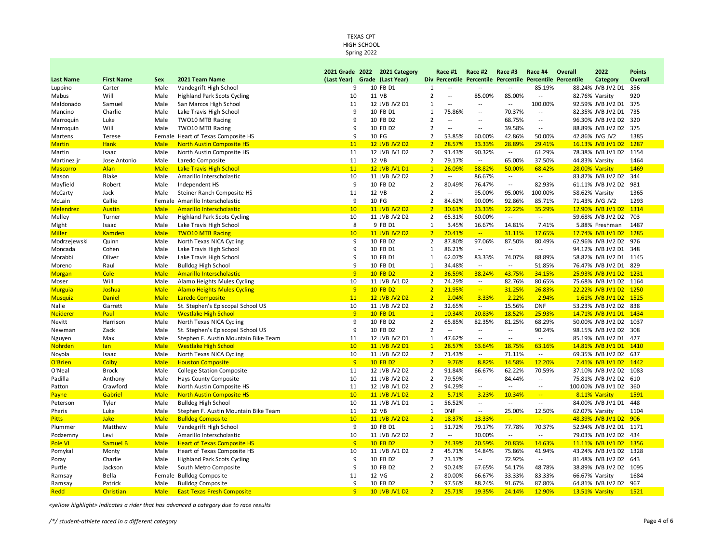#### TEXAS CPT HIGH SCHOOL Spring 2022

|                      |                        |             |                                                                | 2021 Grade            | 2022 | 2021 Category                  |                                  | Race #1                  | Race #2                           | Race #3                             | Race #4                                                    | Overall        | 2022                                       | <b>Points</b>  |
|----------------------|------------------------|-------------|----------------------------------------------------------------|-----------------------|------|--------------------------------|----------------------------------|--------------------------|-----------------------------------|-------------------------------------|------------------------------------------------------------|----------------|--------------------------------------------|----------------|
| Last Name            | <b>First Name</b>      | Sex         | 2021 Team Name                                                 | (Last Year)           |      | Grade (Last Year)              |                                  |                          |                                   |                                     | Div Percentile Percentile Percentile Percentile Percentile |                | <b>Category</b>                            | <b>Overall</b> |
| Luppino              | Carter                 | Male        | Vandegrift High School                                         | 9                     |      | 10 FB D1                       | $\mathbf{1}$                     | $\overline{a}$           | $\overline{a}$                    | $\overline{a}$                      | 85.19%                                                     |                | 88.24% JVB JV2 D1                          | 356            |
| Mabus                | Will                   | Male        | <b>Highland Park Scots Cycling</b>                             | 10                    |      | 11 VB                          | $\overline{2}$                   | $\ddotsc$                | 85.00%                            | 85.00%                              | $\overline{\phantom{a}}$                                   | 82.76% Varsity |                                            | 920            |
| Maldonado            | Samuel                 | Male        | San Marcos High School                                         | 11                    |      | 12 JVB JV2 D1                  | $\mathbf{1}$                     | $\overline{a}$           | $\overline{a}$                    | $\overline{a}$                      | 100.00%                                                    |                | 92.59% JVB JV2 D1                          | 375            |
| Mancino              | Charlie                | Male        | Lake Travis High School                                        | 9                     |      | 10 FB D1                       | 1                                | 75.86%                   | $\overline{\phantom{a}}$          | 70.37%                              | $\overline{\phantom{a}}$                                   |                | 82.35% JVB JV2 D1                          | 735            |
| Marroquin            | Luke                   | Male        | TWO10 MTB Racing                                               | 9                     |      | 10 FB D2                       | $\overline{2}$                   | $\overline{a}$           | $\overline{\phantom{a}}$          | 68.75%                              | $\overline{\phantom{a}}$                                   |                | 96.30% JVB JV2 D2                          | 320            |
| Marroquin            | Will                   | Male        | TWO10 MTB Racing                                               | 9                     |      | 10 FB D2                       | $\overline{2}$                   | $\overline{a}$           | $\overline{\phantom{a}}$          | 39.58%                              | $\overline{\phantom{a}}$                                   |                | 88.89% JVB JV2 D2                          | 375            |
| Martens              | Terese                 |             | Female Heart of Texas Composite HS                             | 9                     |      | 10 FG                          | 2                                | 53.85%                   | 60.00%                            | 42.86%                              | 50.00%                                                     |                | 42.86% JVG JV2                             | 1385           |
| <b>Martin</b>        | Hank                   | <b>Male</b> | <b>North Austin Composite HS</b>                               | 11                    |      | 12 JVB JV2 D2                  | $\overline{2}$                   | 28.57%                   | 33.33%                            | 28.89%                              | 29.41%                                                     |                | 16.13% JVB JV1 D2                          | 1287           |
| Martin               | Isaac                  | Male        | North Austin Composite HS                                      | 11                    |      | 12 JVB JV1 D2                  | $\overline{2}$                   | 91.43%                   | 90.32%                            | $\overline{a}$                      | 61.29%                                                     |                | 78.38% JVB JV1 D2                          | 1154           |
| Martinez jr          | Jose Antonio           | Male        | Laredo Composite                                               | 11                    |      | 12 VB                          | 2                                | 79.17%                   | $\sim$                            | 65.00%                              | 37.50%                                                     | 44.83% Varsity |                                            | 1464           |
| <u>Mascorro</u>      | Alan                   | <b>Male</b> | <b>Lake Travis High School</b>                                 | 11                    |      | 12 JVB JV1 D1                  | $\mathbf{1}$                     | 26.09%                   | 58.82%                            | 50.00%                              | 68.42%                                                     | 28.00% Varsity |                                            | 1469           |
| Mason                | <b>Blake</b>           | Male        | Amarillo Interscholastic                                       | 10                    |      | 11 JVB JV2 D2                  | $\overline{2}$                   | --                       | 86.67%                            | $\overline{\phantom{a}}$            | $\overline{\phantom{a}}$                                   |                | 83.87% JVB JV2 D2                          | 344            |
| Mayfield             | Robert                 | Male        | Independent HS                                                 | 9                     |      | 10 FB D2                       | $\overline{2}$                   | 80.49%                   | 76.47%                            | $\overline{\phantom{a}}$            | 82.93%                                                     |                | 61.11% JVB JV2 D2                          | 981            |
| McCarty              | Jack                   | Male        | Steiner Ranch Composite HS                                     | 11                    |      | 12 VB                          | $\overline{2}$                   | $\overline{a}$           | 95.00%                            | 95.00%                              | 100.00%                                                    | 58.62% Varsity |                                            | 1365           |
| McLain               | Callie                 |             | Female Amarillo Interscholastic                                | 9                     |      | 10 FG                          | $\overline{2}$                   | 84.62%                   | 90.00%                            | 92.86%                              | 85.71%                                                     |                | 71.43% JVG JV2                             | 1293           |
| <b>Melendrez</b>     | <b>Austin</b>          | <b>Male</b> | <b>Amarillo Interscholastic</b>                                | 10                    |      | 11 JVB JV2 D2                  | $\overline{2}$                   | 30.61%                   | 23.33%                            | 22.22%                              | 35.29%                                                     |                | 12.90% JVB JV1 D2                          | 1314           |
| Melley               | Turner                 | Male        | <b>Highland Park Scots Cycling</b>                             | 10                    |      | 11 JVB JV2 D2                  | $\overline{2}$                   | 65.31%                   | 60.00%                            | $\overline{\phantom{a}}$            | $\overline{\phantom{a}}$                                   |                | 59.68% JVB JV2 D2                          | 703            |
| Might                | Isaac                  | Male        | Lake Travis High School                                        | 8                     |      | 9 FB D1                        | $\mathbf{1}$                     | 3.45%                    | 16.67%                            | 14.81%                              | 7.41%                                                      |                | 5.88% Freshman                             | 1487           |
| Miller               | <b>Kamden</b>          | <b>Male</b> | <b>TWO10 MTB Racing</b>                                        | 10                    |      | 11 JVB JV2 D2                  | $\overline{2}$                   | 20.41%                   | $\sim$                            | 31.11%                              | 17.65%                                                     |                | 17.74% JVB JV1 D2                          | 1285           |
| Modrzejewski         | Quinn                  | Male        | North Texas NICA Cycling                                       | 9                     |      | 10 FB D2                       | 2                                | 87.80%                   | 97.06%                            | 87.50%                              | 80.49%                                                     |                | 62.96% JVB JV2 D2                          | 976            |
| Moncada              | Cohen                  | Male        | Lake Travis High School                                        | 9                     |      | 10 FB D1                       | 1                                | 86.21%                   | $\overline{\phantom{a}}$          | $\overline{\phantom{a}}$            | $\overline{\phantom{a}}$                                   |                | 94.12% JVB JV2 D1                          | 348            |
| Morabbi              | Oliver                 | Male        | Lake Travis High School                                        | 9                     |      | 10 FB D1                       | 1                                | 62.07%                   | 83.33%                            | 74.07%                              | 88.89%                                                     |                | 58.82% JVB JV2 D1 1145                     |                |
| Moreno               | Raul                   | Male        | <b>Bulldog High School</b>                                     | 9                     |      | 10 FB D1                       | $\mathbf{1}$                     | 34.48%                   | $\sim$                            | $\overline{\phantom{a}}$            | 51.85%                                                     |                | 76.47% JVB JV2 D1 829                      |                |
| <b>Morgan</b>        | Cole                   | <b>Male</b> | <b>Amarillo Interscholastic</b>                                | 9                     |      | 10 FB D2                       | $\overline{2}$                   | 36.59%                   | 38.24%                            | 43.75%                              | 34.15%                                                     |                | 25.93% JVB JV1 D2                          | 1231           |
| Moser                | Will                   | Male        | Alamo Heights Mules Cycling                                    | 10                    |      | 11 JVB JV1 D2                  | $\overline{2}$                   | 74.29%                   | $\sim$                            | 82.76%                              | 80.65%                                                     |                | 75.68% JVB JV1 D2                          | 1164           |
| <b>Murguia</b>       | Joshua                 | <b>Male</b> | <b>Alamo Heights Mules Cycling</b>                             | 9                     |      | 10 FB D2                       | $\overline{2}$                   | 21.95%                   | $\mathbb{Z}_{\mathbb{Z}_p}$       | 31.25%                              | 26.83%                                                     |                | 22.22% JVB JV1 D2                          | 1250           |
| <b>Musquiz</b>       | <b>Daniel</b>          | <b>Male</b> | <b>Laredo Composite</b>                                        | 11                    |      | 12 JVB JV2 D2                  | $\overline{2}$                   | 2.04%                    | 3.33%                             | 2.22%                               | 2.94%                                                      |                | 1.61% JVB JV1 D2                           | 1525           |
| Nalle                | Garrett                | Male        | St. Stephen's Episcopal School US                              | 10                    |      | 11 JVB JV2 D2                  | $\overline{2}$                   | 32.65%                   | $\sim$                            | 15.56%                              | <b>DNF</b>                                                 |                | 53.23% JVB JV2 D2 838                      |                |
| <u>Neiderer</u>      | Paul                   | <b>Male</b> | <b>Westlake High School</b>                                    | 9                     |      | 10 FB D1                       | $\mathbf{1}$                     | 10.34%                   | 20.83%                            | 18.52%                              | 25.93%                                                     |                | 14.71% JVB JV1 D1                          | 1434           |
| Nevitt               | Harrison               | Male        | North Texas NICA Cycling                                       | 9                     |      | 10 FB D2                       | $\overline{2}$                   | 65.85%                   | 82.35%                            | 81.25%                              | 68.29%                                                     |                | 50.00% JVB JV2 D2                          | 1037           |
|                      | Zack                   | Male        | St. Stephen's Episcopal School US                              | 9                     |      | 10 FB D2                       | $\overline{2}$                   | $\overline{a}$           | $\overline{\phantom{a}}$          | $\overline{\phantom{a}}$            | 90.24%                                                     |                | 98.15% JVB JV2 D2                          | 308            |
| Newman               |                        | Male        | Stephen F. Austin Mountain Bike Team                           | 11                    |      |                                |                                  | 47.62%                   | $\sim$                            | $\overline{\phantom{a}}$            | $\overline{\phantom{a}}$                                   |                |                                            |                |
| Nguyen               | Max                    | <b>Male</b> |                                                                | 10                    |      | 12 JVB JV2 D1                  | 1<br>$\mathbf{1}$                | 28.57%                   | 63.64%                            | 18.75%                              | 63.16%                                                     |                | 85.19% JVB JV2 D1 427<br>14.81% JVB JV1 D1 | 1410           |
| <mark>Nohrden</mark> | lan                    |             | <b>Westlake High School</b>                                    |                       |      | 11 JVB JV2 D1                  | $\overline{2}$                   | 71.43%                   |                                   |                                     | $\sim$                                                     |                |                                            |                |
| Noyola               | Isaac                  | Male        | North Texas NICA Cycling                                       | 10<br>9               |      | 11 JVB JV2 D2<br>10 FB D2      | $\overline{2}$                   |                          | $\sim$                            | 71.11%                              |                                                            |                | 69.35% JVB JV2 D2                          | 637<br>1442    |
| O'Brien              | Colby                  | <b>Male</b> | <b>Houston Composite</b>                                       |                       |      |                                |                                  | 9.76%                    | 8.82%                             | 14.58%<br>62.22%                    | 12.20%                                                     |                | 7.41% JVB JV1 D2                           |                |
| O'Neal               | <b>Brock</b>           | Male        | <b>College Station Composite</b>                               | 11                    |      | 12 JVB JV2 D2                  | 2<br>$\overline{2}$              | 91.84%                   | 66.67%<br>$\sim$                  |                                     | 70.59%                                                     |                | 37.10% JVB JV2 D2                          | 1083<br>610    |
| Padilla              | Anthony                | Male        | Hays County Composite                                          | 10                    |      | 11 JVB JV2 D2                  |                                  | 79.59%                   | $\overline{a}$                    | 84.44%                              | $\overline{\phantom{a}}$                                   |                | 75.81% JVB JV2 D2                          |                |
| Patton               | Crawford               | Male        | North Austin Composite HS                                      | 11                    |      | 12 JVB JV1 D2                  | $\overline{2}$<br>$\overline{2}$ | 94.29%<br>5.71%          |                                   | $\overline{\phantom{a}}$<br>10.34%  | $\overline{\phantom{a}}$<br>$\overline{\phantom{a}}$       |                | 100.00% JVB JV1 D2                         | 360            |
| Payne                | Gabriel                | <b>Male</b> | <b>North Austin Composite HS</b><br><b>Bulldog High School</b> | 10                    |      | 11 JVB JV1 D2<br>11 JVB JV1 D1 | $\mathbf{1}$                     | 56.52%                   | 3.23%<br>$\overline{\phantom{a}}$ | $\overline{\phantom{a}}$            | $\overline{\phantom{a}}$                                   |                | 8.11% Varsity                              | 1591<br>448    |
| Peterson             | Tyler                  | Male        |                                                                | 10                    |      |                                |                                  |                          |                                   |                                     |                                                            |                | 84.00% JVB JV1 D1                          |                |
| Pharis               | Luke                   | Male        | Stephen F. Austin Mountain Bike Team                           | 11<br>10 <sup>°</sup> |      | 12 VB<br>11 JVB JV2 D2         | 1<br>$\overline{2}$              | <b>DNF</b>               | $\sim$                            | 25.00%<br>$\mathbb{Z}^{\mathbb{Z}}$ | 12.50%<br>$\mathbb{Z}^2$                                   | 62.07% Varsity |                                            | 1104           |
| <b>Pitts</b>         | <b>Jake</b><br>Matthew | <b>Male</b> | <b>Bulldog Composite</b>                                       | 9                     |      |                                | $\mathbf{1}$                     | 18.37%<br>51.72%         | 13.33%<br>79.17%                  | 77.78%                              | 70.37%                                                     |                | 48.39% JVB JV1 D2                          | 906            |
| Plummer              |                        | Male        | Vandegrift High School                                         |                       |      | 10 FB D1                       |                                  |                          |                                   |                                     |                                                            |                | 52.94% JVB JV2 D1                          | 1171           |
| Podzemny             | Levi                   | Male        | Amarillo Interscholastic                                       | 10                    |      | 11 JVB JV2 D2                  | $\overline{2}$                   | $\overline{\phantom{a}}$ | 30.00%                            | $\sim$                              | $\overline{\phantom{a}}$                                   |                | 79.03% JVB JV2 D2                          | 434            |
| Pole VI              | Samuel B               | <b>Male</b> | <b>Heart of Texas Composite HS</b>                             | 9                     |      | 10 FB D2                       | $\overline{2}$                   | 24.39%                   | 20.59%                            | 20.83%                              | 14.63%                                                     |                | 11.11% JVB JV1 D2                          | 1356           |
| Pomykal              | Monty                  | Male        | Heart of Texas Composite HS                                    | 10                    |      | 11 JVB JV1 D2                  | $\overline{2}$                   | 45.71%                   | 54.84%                            | 75.86%                              | 41.94%                                                     |                | 43.24% JVB JV1 D2                          | 1328           |
| Poray                | Charlie                | Male        | <b>Highland Park Scots Cycling</b>                             | 9                     |      | 10 FB D2                       | $\overline{2}$                   | 73.17%                   | $\sim$                            | 72.92%                              | $\overline{\phantom{a}}$                                   |                | 81.48% JVB JV2 D2                          | 643            |
| Purtle               | Jackson                | Male        | South Metro Composite                                          | 9                     |      | 10 FB D2                       | $\overline{2}$                   | 90.24%                   | 67.65%                            | 54.17%                              | 48.78%                                                     |                | 38.89% JVB JV2 D2                          | 1095           |
| Ramsay               | Bella                  |             | Female Bulldog Composite                                       | 11                    |      | 12 VG                          | $\overline{2}$                   | 80.00%                   | 66.67%                            | 33.33%                              | 83.33%                                                     | 66.67% Varsity |                                            | 1684           |
| Ramsay               | Patrick                | Male        | <b>Bulldog Composite</b>                                       | 9                     |      | 10 FB D2                       | $\overline{2}$                   | 97.56%                   | 88.24%                            | 91.67%                              | 87.80%                                                     |                | 64.81% JVB JV2 D2                          | 967            |
| Redd                 | Christian              | <b>Male</b> | <b>East Texas Fresh Composite</b>                              | 9                     |      | 10 JVB JV1 D2                  | $\overline{2}$                   | 25.71%                   | 19.35%                            | 24.14%                              | 12.90%                                                     | 13.51% Varsity |                                            | 1521           |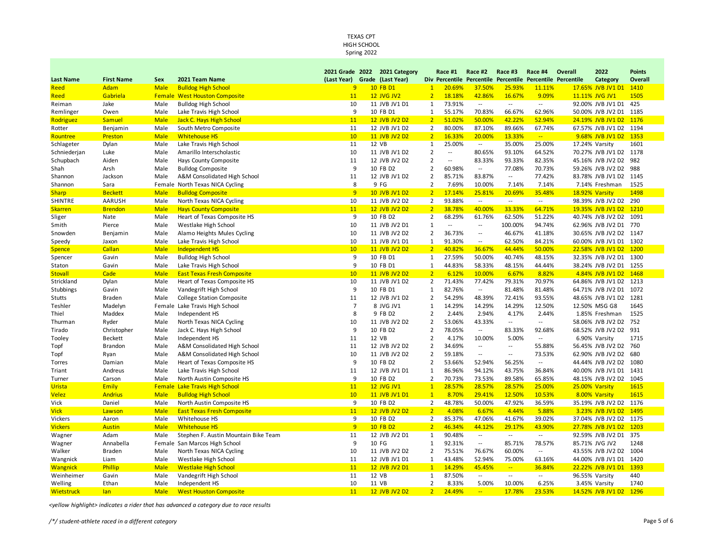Spring 2022

|                   |                   |             |                                       |                 | 2021 Grade 2022 2021 Category |                | Race #1                  | Race #2                      | Race #3                            | Race #4                      | Overall | 2022                   | <b>Points</b> |
|-------------------|-------------------|-------------|---------------------------------------|-----------------|-------------------------------|----------------|--------------------------|------------------------------|------------------------------------|------------------------------|---------|------------------------|---------------|
| <b>Last Name</b>  | <b>First Name</b> | Sex         | 2021 Team Name                        |                 | (Last Year) Grade (Last Year) |                | Div Percentile           | <b>Percentile Percentile</b> |                                    | <b>Percentile Percentile</b> |         | Category               | Overall       |
| Reed              | Adam              | <b>Male</b> | <b>Bulldog High School</b>            | 9               | 10 FB D1                      | $\mathbf{1}$   | 20.69%                   | 37.50%                       | 25.93%                             | 11.11%                       |         | 17.65% JVB JV1 D1      | 1410          |
| Reed              | Gabriela          |             | <b>Female West Houston Composite</b>  | 11              | <b>12 JVG JV2</b>             | $\overline{2}$ | 18.18%                   | 42.86%                       | 16.67%                             | 9.09%                        |         | 11.11% JVG JV1         | 1505          |
| Reiman            | Jake              | Male        | <b>Bulldog High School</b>            | 10              | 11 JVB JV1 D1                 | $\mathbf{1}$   | 73.91%                   |                              | $\sim$                             | $\overline{\phantom{a}}$     |         | 92.00% JVB JV1 D1      | 425           |
| Remlinger         | Owen              | Male        | Lake Travis High School               | 9               | 10 FB D1                      | 1              | 55.17%                   | 70.83%                       | 66.67%                             | 62.96%                       |         | 50.00% JVB JV2 D1      | 1185          |
| Rodriguez         | <b>Samuel</b>     | <b>Male</b> | Jack C. Hays High School              | 11              | 12 JVB JV2 D2                 | 2 <sup>2</sup> | 51.02%                   | 50.00%                       | 42.22%                             | 52.94%                       |         | 24.19% JVB JV1 D2      | 1176          |
| Rotter            | Benjamin          | Male        | South Metro Composite                 | 11              | 12 JVB JV1 D2                 | $\overline{2}$ | 80.00%                   | 87.10%                       | 89.66%                             | 67.74%                       |         | 67.57% JVB JV1 D2      | 1194          |
| Rountree          | Preston           | <b>Male</b> | <b>Whitehouse HS</b>                  | 10              | 11 JVB JV2 D2                 | $\overline{2}$ | 16.33%                   | 20.00%                       | 13.33%                             | $\frac{1}{2}$ .              |         | 9.68% JVB JV1 D2       | 1353          |
| Schlageter        | Dylan             | Male        | Lake Travis High School               | 11              | 12 VB                         | $\mathbf{1}$   | 25.00%                   | $\sim$                       | 35.00%                             | 25.00%                       |         | 17.24% Varsity         | 1601          |
| Schniederjan      | Luke              | Male        | Amarillo Interscholastic              | 10              | 11 JVB JV1 D2                 | $\overline{2}$ | $\overline{\phantom{a}}$ | 80.65%                       | 93.10%                             | 64.52%                       |         | 70.27% JVB JV1 D2 1178 |               |
| Schupbach         | Aiden             | Male        | Hays County Composite                 | 11              | 12 JVB JV2 D2                 | $\overline{2}$ | $\overline{\phantom{a}}$ | 83.33%                       | 93.33%                             | 82.35%                       |         | 45.16% JVB JV2 D2      | 982           |
| Shah              | Arsh              | Male        | <b>Bulldog Composite</b>              | 9               | 10 FB D2                      | $\overline{2}$ | 60.98%                   | $\overline{a}$               | 77.08%                             | 70.73%                       |         | 59.26% JVB JV2 D2      | 988           |
| Shannon           | Jackson           | Male        | A&M Consolidated High School          | 11              | 12 JVB JV1 D2                 | $\overline{2}$ | 85.71%                   | 83.87%                       | $\overline{\phantom{a}}$           | 77.42%                       |         | 83.78% JVB JV1 D2      | 1145          |
| Shannon           | Sara              |             | Female North Texas NICA Cycling       | 8               | 9 FG                          | $\overline{2}$ | 7.69%                    | 10.00%                       | 7.14%                              | 7.14%                        |         | 7.14% Freshman         | 1525          |
| <b>Sharp</b>      | <b>Beckett</b>    | <b>Male</b> | <b>Bulldog Composite</b>              | 9               | 10 JVB JV1 D2                 | $\overline{2}$ | 17.14%                   | 25.81%                       | 20.69%                             | 35.48%                       |         | 18.92% Varsity         | 1498          |
| <b>SHINTRE</b>    | AARUSH            | Male        | North Texas NICA Cycling              | 10              | 11 JVB JV2 D2                 | $\overline{2}$ | 93.88%                   | $\sim$                       | $\sim$                             | $\sim$                       |         | 98.39% JVB JV2 D2 290  |               |
| <b>Skarren</b>    | <b>Brendon</b>    | <b>Male</b> | <b>Hays County Composite</b>          | 11              | 12 JVB JV2 D2                 | $\overline{2}$ | 38.78%                   | 40.00%                       | 33.33%                             | 64.71%                       |         | 19.35% JVB JV1 D2      | 1210          |
| Sliger            | Nate              | Male        | Heart of Texas Composite HS           | 9               | 10 FB D2                      | $\overline{2}$ | 68.29%                   | 61.76%                       | 62.50%                             | 51.22%                       |         | 40.74% JVB JV2 D2      | 1091          |
| Smith             | Pierce            | Male        | Westlake High School                  | 10              | 11 JVB JV2 D1                 | $\mathbf{1}$   | $\overline{a}$           | $\overline{\phantom{a}}$     | 100.00%                            | 94.74%                       |         | 62.96% JVB JV2 D1      | 770           |
| Snowden           | Benjamin          | Male        | Alamo Heights Mules Cycling           | 10              | 11 JVB JV2 D2                 | $\overline{2}$ | 36.73%                   | $\overline{\phantom{a}}$     | 46.67%                             | 41.18%                       |         | 30.65% JVB JV2 D2      | 1147          |
| Speedy            | Jaxon             | Male        | Lake Travis High School               | 10              | 11 JVB JV1 D1                 | $\mathbf{1}$   | 91.30%                   | $\overline{\phantom{a}}$     | 62.50%                             | 84.21%                       |         | 60.00% JVB JV1 D1      | 1302          |
| <b>Spence</b>     | Callan            | <b>Male</b> | Independent HS                        | 10 <sup>°</sup> | 11 JVB JV2 D2                 | $\overline{2}$ | 40.82%                   | 36.67%                       | 44.44%                             | 50.00%                       |         | 22.58% JVB JV1 D2      | 1200          |
| Spencer           | Gavin             | Male        | <b>Bulldog High School</b>            | 9               | 10 FB D1                      | $\mathbf{1}$   | 27.59%                   | 50.00%                       | 40.74%                             | 48.15%                       |         | 32.35% JVB JV2 D1      | 1300          |
| Staton            | Gavin             | Male        | Lake Travis High School               | 9               | 10 FB D1                      | $\mathbf{1}$   | 44.83%                   | 58.33%                       | 48.15%                             | 44.44%                       |         | 38.24% JVB JV2 D1      | 1255          |
| <b>Stovall</b>    | Cade              | <b>Male</b> | <b>East Texas Fresh Composite</b>     | 10              | 11 JVB JV2 D2                 | $\overline{2}$ | 6.12%                    | 10.00%                       | 6.67%                              | 8.82%                        |         | 4.84% JVB JV1 D2       | 1468          |
| Strickland        | Dylan             | Male        | Heart of Texas Composite HS           | 10              | 11 JVB JV1 D2                 | $\overline{2}$ | 71.43%                   | 77.42%                       | 79.31%                             | 70.97%                       |         | 64.86% JVB JV1 D2      | 1213          |
| Stubbings         | Gavin             | Male        | Vandegrift High School                | 9               | 10 FB D1                      | 1              | 82.76%                   | $\sim$ $\sim$                | 81.48%                             | 81.48%                       |         | 64.71% JVB JV2 D1      | 1072          |
| Stutts            | Braden            | Male        | <b>College Station Composite</b>      | 11              | 12 JVB JV1 D2                 | $\overline{2}$ | 54.29%                   | 48.39%                       | 72.41%                             | 93.55%                       |         | 48.65% JVB JV1 D2      | 1281          |
| Teshler           | Madelyn           | Female      | Lake Travis High School               | $\overline{7}$  | 8 JVG JV1                     | $\mathbf{1}$   | 14.29%                   | 14.29%                       | 14.29%                             | 12.50%                       |         | 12.50% MSG G8          | 1645          |
| Thiel             | Maddex            | Male        | Independent HS                        | 8               | 9 FB D2                       | $\overline{2}$ | 2.44%                    | 2.94%                        | 4.17%                              | 2.44%                        |         | 1.85% Freshman         | 1525          |
| Thurman           | Ryder             | Male        | North Texas NICA Cycling              | 10              | 11 JVB JV2 D2                 | $\overline{2}$ | 53.06%                   | 43.33%                       | $\overline{a}$                     | $\cdots$                     |         | 58.06% JVB JV2 D2 752  |               |
| Tirado            | Christopher       | Male        | Jack C. Hays High School              | 9               | 10 FB D2                      | $\overline{2}$ | 78.05%                   | $\overline{a}$               | 83.33%                             | 92.68%                       |         | 68.52% JVB JV2 D2 931  |               |
| Tooley            | <b>Beckett</b>    | Male        | Independent HS                        | 11              | 12 VB                         | $\overline{2}$ | 4.17%                    | 10.00%                       | 5.00%                              | $\overline{\phantom{a}}$     |         | 6.90% Varsity          | 1715          |
| Topf              | Brandon           | Male        | A&M Consolidated High School          | 11              | 12 JVB JV2 D2                 | $\overline{2}$ | 34.69%                   |                              | $\overline{a}$                     | 55.88%                       |         | 56.45% JVB JV2 D2      | 760           |
| Topf              | Ryan              | Male        | A&M Consolidated High School          | 10              | 11 JVB JV2 D2                 | $\overline{2}$ | 59.18%                   | $\overline{\phantom{a}}$     | $\overline{\phantom{a}}$           | 73.53%                       |         | 62.90% JVB JV2 D2      | 680           |
| Torres            | Damian            | Male        | Heart of Texas Composite HS           | 9               | 10 FB D2                      | $\overline{2}$ | 53.66%                   | 52.94%                       | 56.25%                             | $\overline{\phantom{a}}$     |         | 44.44% JVB JV2 D2      | 1080          |
| Triant            | Andreus           | Male        | Lake Travis High School               | 11              | 12 JVB JV1 D1                 | $\mathbf{1}$   | 86.96%                   | 94.12%                       | 43.75%                             | 36.84%                       |         | 40.00% JVB JV1 D1      | 1431          |
| Turner            | Carson            | Male        | North Austin Composite HS             | 9               | 10 FB D2                      | $\overline{2}$ | 70.73%                   | 73.53%                       | 89.58%                             | 65.85%                       |         | 48.15% JVB JV2 D2      | 1045          |
| Urista            | <b>Emily</b>      |             | <b>Female Lake Travis High School</b> | 11              | <b>12 JVG JV1</b>             | $\mathbf{1}$   | 28.57%                   | 28.57%                       | 28.57%                             | 25.00%                       |         | 25.00% Varsity         | 1615          |
| <b>Velez</b>      | <b>Andrius</b>    | <b>Male</b> | <b>Bulldog High School</b>            | 10              | 11 JVB JV1 D1                 | $\overline{1}$ | 8.70%                    | 29.41%                       | 12.50%                             | 10.53%                       |         | 8.00% Varsity          | 1615          |
| Vick              | Daniel            | Male        | North Austin Composite HS             | 9               | 10 FB D2                      | $\overline{2}$ | 48.78%                   | 50.00%                       | 47.92%                             | 36.59%                       |         | 35.19% JVB JV2 D2      | 1176          |
| <b>Vick</b>       | Lawson            | <b>Male</b> | <b>East Texas Fresh Composite</b>     | 11              | 12 JVB JV2 D2                 | $\overline{2}$ | 4.08%                    | 6.67%                        | 4.44%                              | 5.88%                        |         | 3.23% JVB JV1 D2       | 1495          |
| Vickers           | Aaron             | Male        | Whitehouse HS                         | 9               | 10 FB D2                      | $\overline{2}$ | 85.37%                   | 47.06%                       | 41.67%                             | 39.02%                       |         | 37.04% JVB JV2 D2      | 1175          |
| <b>Vickers</b>    | <b>Austin</b>     | <b>Male</b> | <b>Whitehouse HS</b>                  | 9               | 10 FB D2                      | $\overline{2}$ | 46.34%                   | 44.12%                       | 29.17%                             | 43.90%                       |         | 27.78% JVB JV1 D2      | 1203          |
| Wagner            | Adam              | Male        | Stephen F. Austin Mountain Bike Team  | 11              | 12 JVB JV2 D1                 | 1              | 90.48%                   | $\sim$                       | $\overline{\phantom{a}}$           | $\overline{\phantom{a}}$     |         | 92.59% JVB JV2 D1      | 375           |
| Wagner            | Annabella         | Female      | San Marcos High School                | 9               | 10 FG                         | 1              | 92.31%                   | $\overline{\phantom{a}}$     | 85.71%                             | 78.57%                       |         | 85.71% JVG JV2         | 1248          |
| Walker            | Braden            | Male        | North Texas NICA Cycling              | 10              | 11 JVB JV2 D2                 | $\overline{2}$ | 75.51%                   | 76.67%                       | 60.00%                             | $\overline{\phantom{a}}$     |         | 43.55% JVB JV2 D2      | 1004          |
| Wangnick          | Liam              | Male        | Westlake High School                  | 11              | 12 JVB JV1 D1                 | $\mathbf{1}$   | 43.48%                   | 52.94%                       | 75.00%                             | 63.16%                       |         | 44.00% JVB JV1 D1      | 1420          |
| <b>Wangnick</b>   | Phillip           | <b>Male</b> | <b>Westlake High School</b>           | 11              | 12 JVB JV2 D1                 | $\mathbf{1}$   | 14.29%                   | 45.45%                       | $\mathbb{Z}^{\mathbb{Z}^{\times}}$ | 36.84%                       |         | 22.22% JVB JV1 D1      | 1393          |
| Weinheimer        | Gavin             | Male        | Vandegrift High School                | 11              | 12 VB                         | 1              | 87.50%                   | $\overline{a}$               | $\overline{a}$                     | $\sim$                       |         | 96.55% Varsity         | 440           |
| Welling           | Ethan             | Male        | Independent HS                        | 10              | 11 VB                         | $\overline{2}$ | 8.33%                    | 5.00%                        | 10.00%                             | 6.25%                        |         | 3.45% Varsity          | 1740          |
| <b>Wietstruck</b> | lan               | <b>Male</b> | <b>West Houston Composite</b>         | 11              | 12 JVB JV2 D2                 | $\overline{2}$ | 24.49%                   | ш.                           | 17.78%                             | 23.53%                       |         | 14.52% JVB JV1 D2      | 1296          |